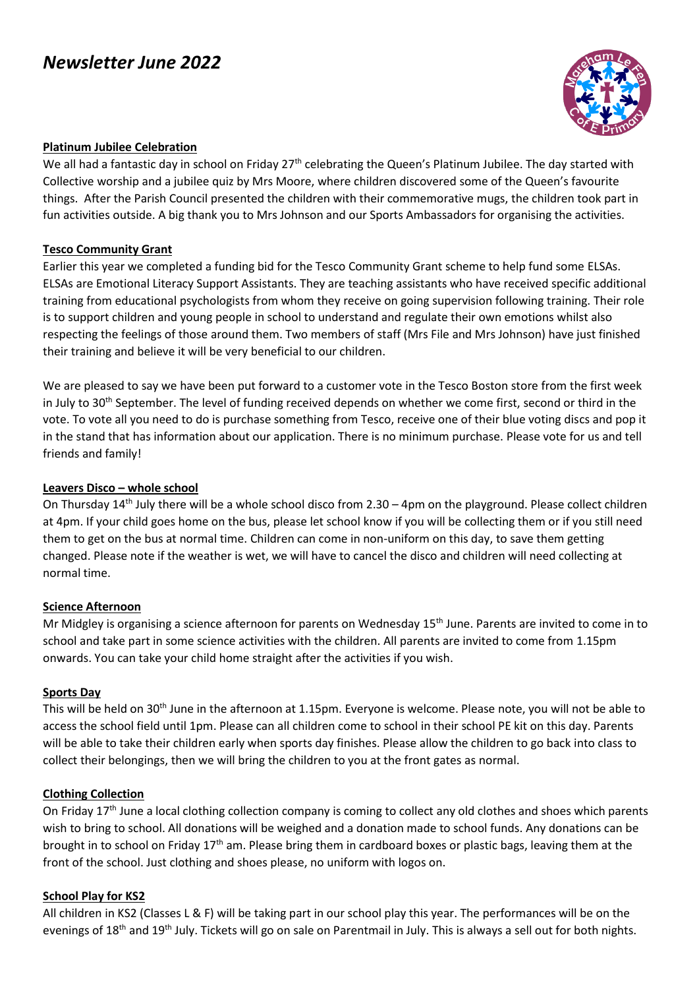# *Newsletter June 2022*



#### **Platinum Jubilee Celebration**

We all had a fantastic day in school on Friday 27<sup>th</sup> celebrating the Queen's Platinum Jubilee. The day started with Collective worship and a jubilee quiz by Mrs Moore, where children discovered some of the Queen's favourite things. After the Parish Council presented the children with their commemorative mugs, the children took part in fun activities outside. A big thank you to Mrs Johnson and our Sports Ambassadors for organising the activities.

#### **Tesco Community Grant**

Earlier this year we completed a funding bid for the Tesco Community Grant scheme to help fund some ELSAs. ELSAs are Emotional Literacy Support Assistants. They are teaching assistants who have received specific additional training from educational psychologists from whom they receive on going supervision following training. Their role is to support children and young people in school to understand and regulate their own emotions whilst also respecting the feelings of those around them. Two members of staff (Mrs File and Mrs Johnson) have just finished their training and believe it will be very beneficial to our children.

We are pleased to say we have been put forward to a customer vote in the Tesco Boston store from the first week in July to 30<sup>th</sup> September. The level of funding received depends on whether we come first, second or third in the vote. To vote all you need to do is purchase something from Tesco, receive one of their blue voting discs and pop it in the stand that has information about our application. There is no minimum purchase. Please vote for us and tell friends and family!

#### **Leavers Disco – whole school**

On Thursday 14<sup>th</sup> July there will be a whole school disco from 2.30 – 4pm on the playground. Please collect children at 4pm. If your child goes home on the bus, please let school know if you will be collecting them or if you still need them to get on the bus at normal time. Children can come in non-uniform on this day, to save them getting changed. Please note if the weather is wet, we will have to cancel the disco and children will need collecting at normal time.

#### **Science Afternoon**

Mr Midgley is organising a science afternoon for parents on Wednesday 15<sup>th</sup> June. Parents are invited to come in to school and take part in some science activities with the children. All parents are invited to come from 1.15pm onwards. You can take your child home straight after the activities if you wish.

#### **Sports Day**

This will be held on 30th June in the afternoon at 1.15pm. Everyone is welcome. Please note, you will not be able to access the school field until 1pm. Please can all children come to school in their school PE kit on this day. Parents will be able to take their children early when sports day finishes. Please allow the children to go back into class to collect their belongings, then we will bring the children to you at the front gates as normal.

#### **Clothing Collection**

On Friday 17<sup>th</sup> June a local clothing collection company is coming to collect any old clothes and shoes which parents wish to bring to school. All donations will be weighed and a donation made to school funds. Any donations can be brought in to school on Friday 17<sup>th</sup> am. Please bring them in cardboard boxes or plastic bags, leaving them at the front of the school. Just clothing and shoes please, no uniform with logos on.

#### **School Play for KS2**

All children in KS2 (Classes L & F) will be taking part in our school play this year. The performances will be on the evenings of 18<sup>th</sup> and 19<sup>th</sup> July. Tickets will go on sale on Parentmail in July. This is always a sell out for both nights.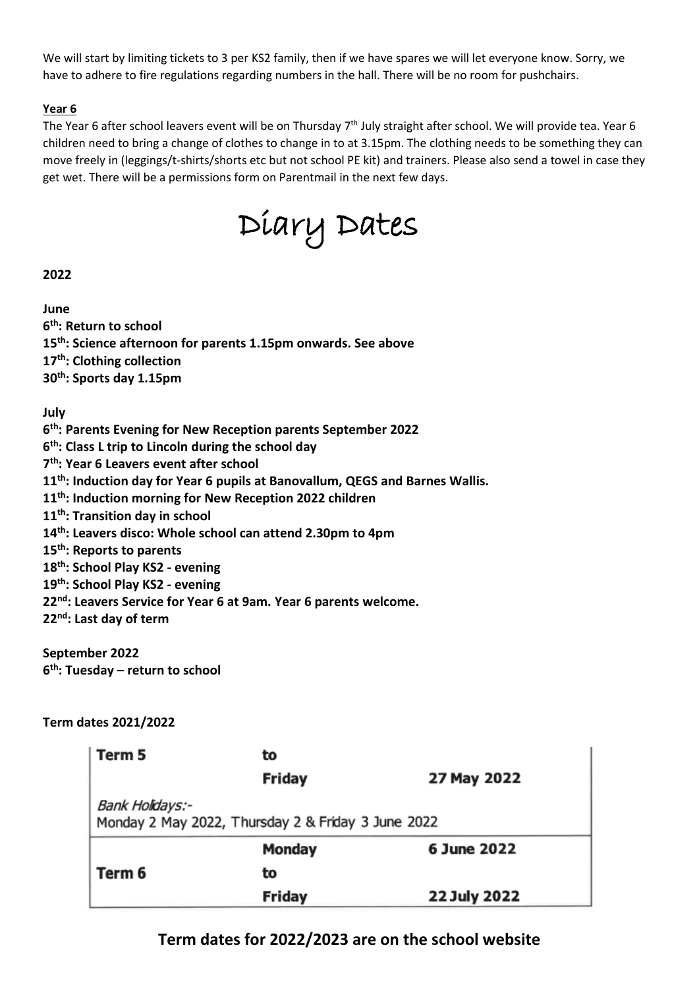We will start by limiting tickets to 3 per KS2 family, then if we have spares we will let everyone know. Sorry, we have to adhere to fire regulations regarding numbers in the hall. There will be no room for pushchairs.

## **Year 6**

The Year 6 after school leavers event will be on Thursday 7<sup>th</sup> July straight after school. We will provide tea. Year 6 children need to bring a change of clothes to change in to at 3.15pm. The clothing needs to be something they can move freely in (leggings/t-shirts/shorts etc but not school PE kit) and trainers. Please also send a towel in case they get wet. There will be a permissions form on Parentmail in the next few days.

Diary Dates

# **2022**

**June th: Return to school th: Science afternoon for parents 1.15pm onwards. See above th: Clothing collection th: Sports day 1.15pm**

**July**

 **th: Parents Evening for New Reception parents September 2022 th: Class L trip to Lincoln during the school day th: Year 6 Leavers event after school th: Induction day for Year 6 pupils at Banovallum, QEGS and Barnes Wallis. th: Induction morning for New Reception 2022 children th: Transition day in school th: Leavers disco: Whole school can attend 2.30pm to 4pm th: Reports to parents th: School Play KS2 - evening th: School Play KS2 - evening nd: Leavers Service for Year 6 at 9am. Year 6 parents welcome. nd: Last day of term**

**September 2022 6 th: Tuesday – return to school**

### **Term dates 2021/2022**

| Term 5                                                                | to            |              |
|-----------------------------------------------------------------------|---------------|--------------|
|                                                                       | <b>Friday</b> | 27 May 2022  |
| Bank Holidays:-<br>Monday 2 May 2022, Thursday 2 & Friday 3 June 2022 |               |              |
|                                                                       | <b>Monday</b> | 6 June 2022  |
| Term 6                                                                | to            |              |
|                                                                       | <b>Friday</b> | 22 July 2022 |

# **Term dates for 2022/2023 are on the school website**